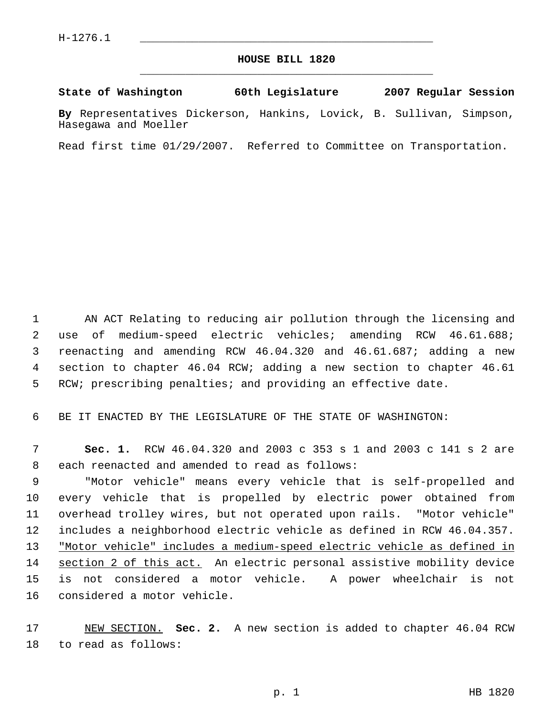## **HOUSE BILL 1820** \_\_\_\_\_\_\_\_\_\_\_\_\_\_\_\_\_\_\_\_\_\_\_\_\_\_\_\_\_\_\_\_\_\_\_\_\_\_\_\_\_\_\_\_\_

**State of Washington 60th Legislature 2007 Regular Session**

**By** Representatives Dickerson, Hankins, Lovick, B. Sullivan, Simpson, Hasegawa and Moeller

Read first time 01/29/2007. Referred to Committee on Transportation.

 AN ACT Relating to reducing air pollution through the licensing and use of medium-speed electric vehicles; amending RCW 46.61.688; reenacting and amending RCW 46.04.320 and 46.61.687; adding a new section to chapter 46.04 RCW; adding a new section to chapter 46.61 RCW; prescribing penalties; and providing an effective date.

BE IT ENACTED BY THE LEGISLATURE OF THE STATE OF WASHINGTON:

 **Sec. 1.** RCW 46.04.320 and 2003 c 353 s 1 and 2003 c 141 s 2 are each reenacted and amended to read as follows:

 "Motor vehicle" means every vehicle that is self-propelled and every vehicle that is propelled by electric power obtained from overhead trolley wires, but not operated upon rails. "Motor vehicle" includes a neighborhood electric vehicle as defined in RCW 46.04.357. 13 "Motor vehicle" includes a medium-speed electric vehicle as defined in 14 section 2 of this act. An electric personal assistive mobility device is not considered a motor vehicle. A power wheelchair is not considered a motor vehicle.

 NEW SECTION. **Sec. 2.** A new section is added to chapter 46.04 RCW to read as follows: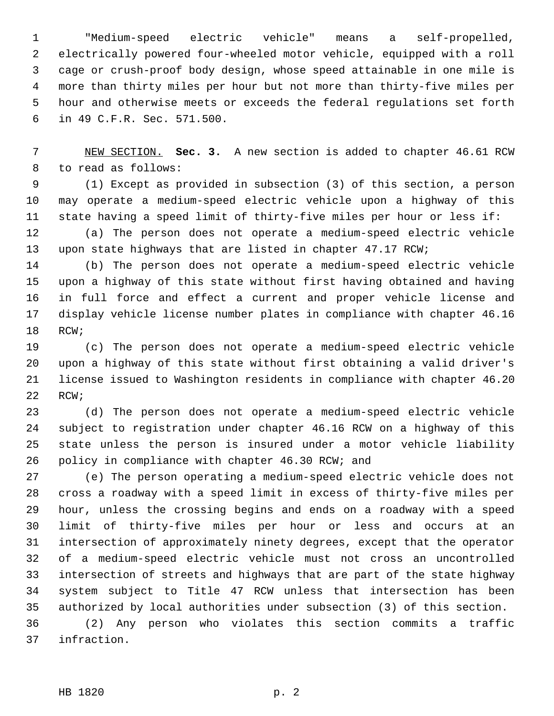"Medium-speed electric vehicle" means a self-propelled, electrically powered four-wheeled motor vehicle, equipped with a roll cage or crush-proof body design, whose speed attainable in one mile is more than thirty miles per hour but not more than thirty-five miles per hour and otherwise meets or exceeds the federal regulations set forth in 49 C.F.R. Sec. 571.500.

 NEW SECTION. **Sec. 3.** A new section is added to chapter 46.61 RCW to read as follows:

 (1) Except as provided in subsection (3) of this section, a person may operate a medium-speed electric vehicle upon a highway of this state having a speed limit of thirty-five miles per hour or less if:

 (a) The person does not operate a medium-speed electric vehicle upon state highways that are listed in chapter 47.17 RCW;

 (b) The person does not operate a medium-speed electric vehicle upon a highway of this state without first having obtained and having in full force and effect a current and proper vehicle license and display vehicle license number plates in compliance with chapter 46.16 RCW;

 (c) The person does not operate a medium-speed electric vehicle upon a highway of this state without first obtaining a valid driver's license issued to Washington residents in compliance with chapter 46.20 22 RCW;

 (d) The person does not operate a medium-speed electric vehicle subject to registration under chapter 46.16 RCW on a highway of this state unless the person is insured under a motor vehicle liability policy in compliance with chapter 46.30 RCW; and

 (e) The person operating a medium-speed electric vehicle does not cross a roadway with a speed limit in excess of thirty-five miles per hour, unless the crossing begins and ends on a roadway with a speed limit of thirty-five miles per hour or less and occurs at an intersection of approximately ninety degrees, except that the operator of a medium-speed electric vehicle must not cross an uncontrolled intersection of streets and highways that are part of the state highway system subject to Title 47 RCW unless that intersection has been authorized by local authorities under subsection (3) of this section.

 (2) Any person who violates this section commits a traffic infraction.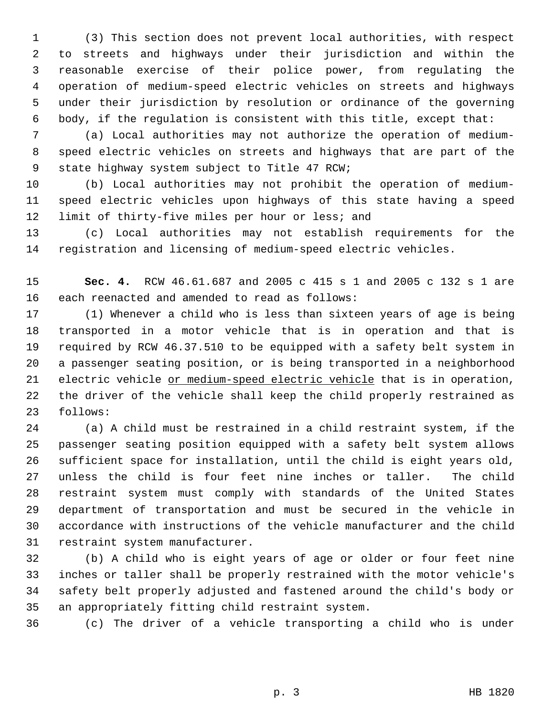(3) This section does not prevent local authorities, with respect to streets and highways under their jurisdiction and within the reasonable exercise of their police power, from regulating the operation of medium-speed electric vehicles on streets and highways under their jurisdiction by resolution or ordinance of the governing body, if the regulation is consistent with this title, except that:

 (a) Local authorities may not authorize the operation of medium- speed electric vehicles on streets and highways that are part of the state highway system subject to Title 47 RCW;

 (b) Local authorities may not prohibit the operation of medium- speed electric vehicles upon highways of this state having a speed 12 limit of thirty-five miles per hour or less; and

 (c) Local authorities may not establish requirements for the registration and licensing of medium-speed electric vehicles.

 **Sec. 4.** RCW 46.61.687 and 2005 c 415 s 1 and 2005 c 132 s 1 are each reenacted and amended to read as follows:

 (1) Whenever a child who is less than sixteen years of age is being transported in a motor vehicle that is in operation and that is required by RCW 46.37.510 to be equipped with a safety belt system in a passenger seating position, or is being transported in a neighborhood 21 electric vehicle or medium-speed electric vehicle that is in operation, the driver of the vehicle shall keep the child properly restrained as follows:

 (a) A child must be restrained in a child restraint system, if the passenger seating position equipped with a safety belt system allows sufficient space for installation, until the child is eight years old, unless the child is four feet nine inches or taller. The child restraint system must comply with standards of the United States department of transportation and must be secured in the vehicle in accordance with instructions of the vehicle manufacturer and the child restraint system manufacturer.

 (b) A child who is eight years of age or older or four feet nine inches or taller shall be properly restrained with the motor vehicle's safety belt properly adjusted and fastened around the child's body or an appropriately fitting child restraint system.

(c) The driver of a vehicle transporting a child who is under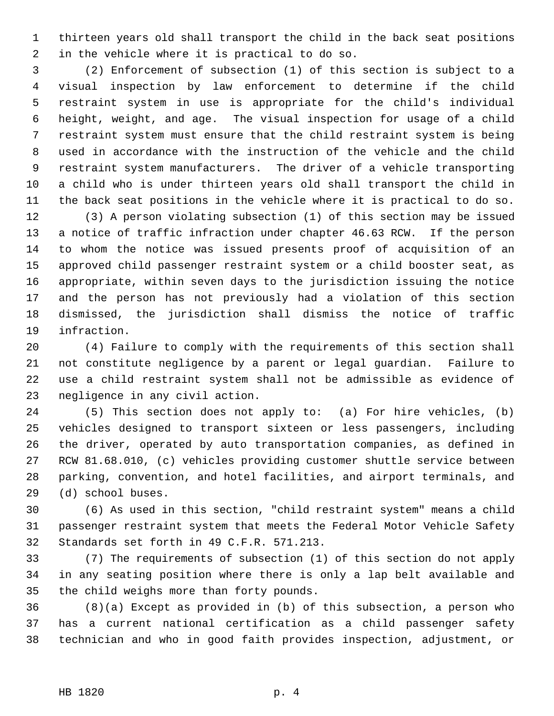thirteen years old shall transport the child in the back seat positions in the vehicle where it is practical to do so.

 (2) Enforcement of subsection (1) of this section is subject to a visual inspection by law enforcement to determine if the child restraint system in use is appropriate for the child's individual height, weight, and age. The visual inspection for usage of a child restraint system must ensure that the child restraint system is being used in accordance with the instruction of the vehicle and the child restraint system manufacturers. The driver of a vehicle transporting a child who is under thirteen years old shall transport the child in the back seat positions in the vehicle where it is practical to do so.

 (3) A person violating subsection (1) of this section may be issued a notice of traffic infraction under chapter 46.63 RCW. If the person to whom the notice was issued presents proof of acquisition of an approved child passenger restraint system or a child booster seat, as appropriate, within seven days to the jurisdiction issuing the notice and the person has not previously had a violation of this section dismissed, the jurisdiction shall dismiss the notice of traffic infraction.

 (4) Failure to comply with the requirements of this section shall not constitute negligence by a parent or legal guardian. Failure to use a child restraint system shall not be admissible as evidence of negligence in any civil action.

 (5) This section does not apply to: (a) For hire vehicles, (b) vehicles designed to transport sixteen or less passengers, including the driver, operated by auto transportation companies, as defined in RCW 81.68.010, (c) vehicles providing customer shuttle service between parking, convention, and hotel facilities, and airport terminals, and (d) school buses.

 (6) As used in this section, "child restraint system" means a child passenger restraint system that meets the Federal Motor Vehicle Safety Standards set forth in 49 C.F.R. 571.213.

 (7) The requirements of subsection (1) of this section do not apply in any seating position where there is only a lap belt available and the child weighs more than forty pounds.

 (8)(a) Except as provided in (b) of this subsection, a person who has a current national certification as a child passenger safety technician and who in good faith provides inspection, adjustment, or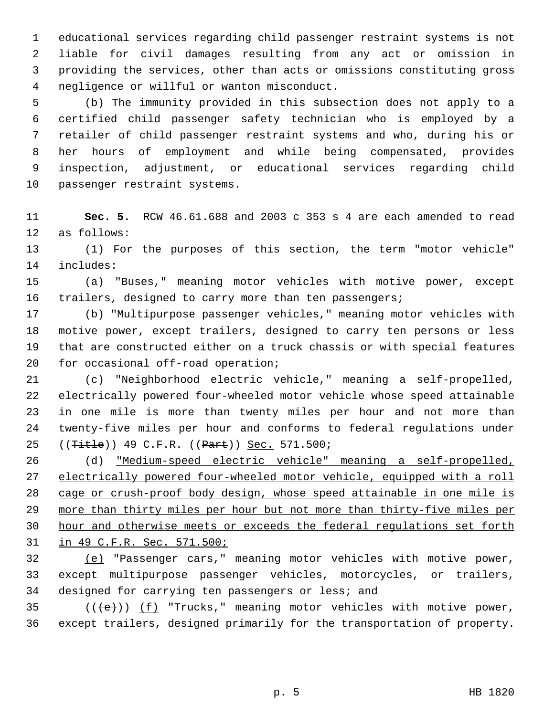educational services regarding child passenger restraint systems is not liable for civil damages resulting from any act or omission in providing the services, other than acts or omissions constituting gross negligence or willful or wanton misconduct.

 (b) The immunity provided in this subsection does not apply to a certified child passenger safety technician who is employed by a retailer of child passenger restraint systems and who, during his or her hours of employment and while being compensated, provides inspection, adjustment, or educational services regarding child passenger restraint systems.

 **Sec. 5.** RCW 46.61.688 and 2003 c 353 s 4 are each amended to read as follows:

 (1) For the purposes of this section, the term "motor vehicle" includes:

 (a) "Buses," meaning motor vehicles with motive power, except 16 trailers, designed to carry more than ten passengers;

 (b) "Multipurpose passenger vehicles," meaning motor vehicles with motive power, except trailers, designed to carry ten persons or less that are constructed either on a truck chassis or with special features for occasional off-road operation;

 (c) "Neighborhood electric vehicle," meaning a self-propelled, electrically powered four-wheeled motor vehicle whose speed attainable in one mile is more than twenty miles per hour and not more than twenty-five miles per hour and conforms to federal regulations under 25 ((<del>Title</del>)) 49 C.F.R. ((Part)) Sec. 571.500;

 (d) "Medium-speed electric vehicle" meaning a self-propelled, electrically powered four-wheeled motor vehicle, equipped with a roll cage or crush-proof body design, whose speed attainable in one mile is more than thirty miles per hour but not more than thirty-five miles per hour and otherwise meets or exceeds the federal regulations set forth in 49 C.F.R. Sec. 571.500;

 (e) "Passenger cars," meaning motor vehicles with motive power, except multipurpose passenger vehicles, motorcycles, or trailers, designed for carrying ten passengers or less; and

35  $((\text{+e})^*)$  (f) "Trucks," meaning motor vehicles with motive power, except trailers, designed primarily for the transportation of property.